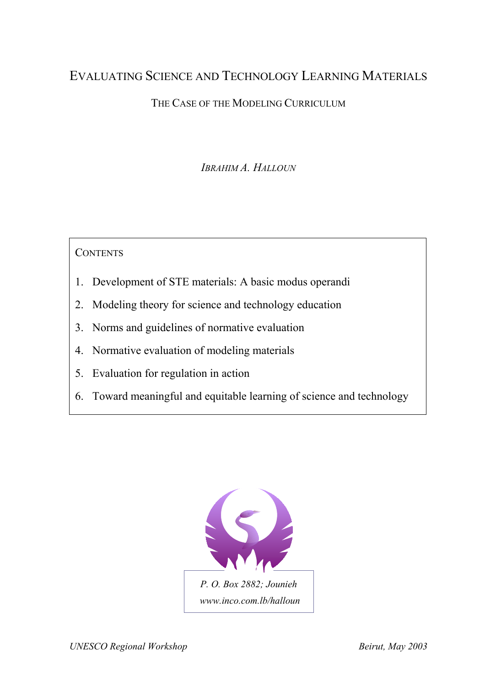# EVALUATING SCIENCE AND TECHNOLOGY LEARNING MATERIALS

# THE CASE OF THE MODELING CURRICULUM

*IBRAHIM A. HALLOUN*

**CONTENTS** 

- 1. Development of STE materials: A basic modus operandi
- 2. Modeling theory for science and technology education
- 3. Norms and guidelines of normative evaluation
- 4. Normative evaluation of modeling materials
- 5. Evaluation for regulation in action
- 6. Toward meaningful and equitable learning of science and technology

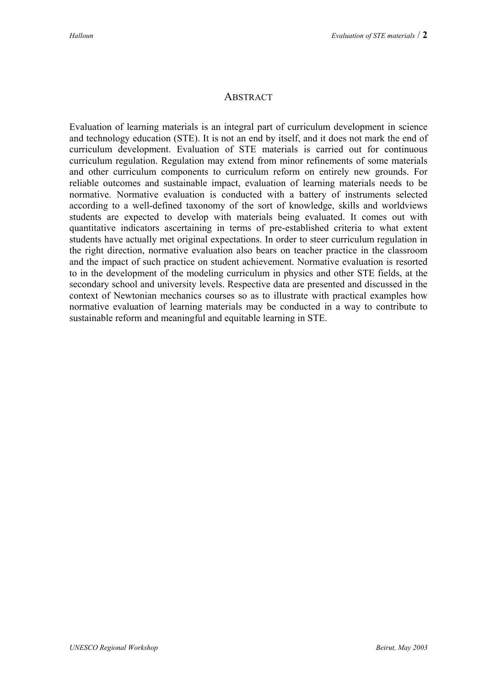### **ABSTRACT**

Evaluation of learning materials is an integral part of curriculum development in science and technology education (STE). It is not an end by itself, and it does not mark the end of curriculum development. Evaluation of STE materials is carried out for continuous curriculum regulation. Regulation may extend from minor refinements of some materials and other curriculum components to curriculum reform on entirely new grounds. For reliable outcomes and sustainable impact, evaluation of learning materials needs to be normative. Normative evaluation is conducted with a battery of instruments selected according to a well-defined taxonomy of the sort of knowledge, skills and worldviews students are expected to develop with materials being evaluated. It comes out with quantitative indicators ascertaining in terms of pre-established criteria to what extent students have actually met original expectations. In order to steer curriculum regulation in the right direction, normative evaluation also bears on teacher practice in the classroom and the impact of such practice on student achievement. Normative evaluation is resorted to in the development of the modeling curriculum in physics and other STE fields, at the secondary school and university levels. Respective data are presented and discussed in the context of Newtonian mechanics courses so as to illustrate with practical examples how normative evaluation of learning materials may be conducted in a way to contribute to sustainable reform and meaningful and equitable learning in STE.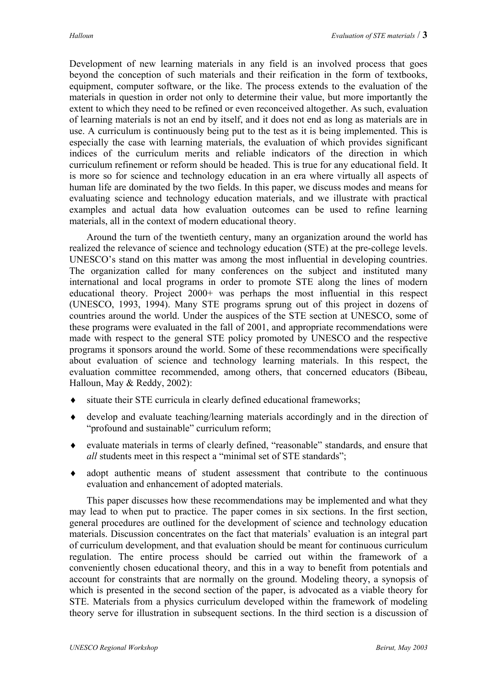Development of new learning materials in any field is an involved process that goes beyond the conception of such materials and their reification in the form of textbooks, equipment, computer software, or the like. The process extends to the evaluation of the materials in question in order not only to determine their value, but more importantly the extent to which they need to be refined or even reconceived altogether. As such, evaluation of learning materials is not an end by itself, and it does not end as long as materials are in use. A curriculum is continuously being put to the test as it is being implemented. This is especially the case with learning materials, the evaluation of which provides significant indices of the curriculum merits and reliable indicators of the direction in which curriculum refinement or reform should be headed. This is true for any educational field. It is more so for science and technology education in an era where virtually all aspects of human life are dominated by the two fields. In this paper, we discuss modes and means for evaluating science and technology education materials, and we illustrate with practical examples and actual data how evaluation outcomes can be used to refine learning materials, all in the context of modern educational theory.

Around the turn of the twentieth century, many an organization around the world has realized the relevance of science and technology education (STE) at the pre-college levels. UNESCO's stand on this matter was among the most influential in developing countries. The organization called for many conferences on the subject and instituted many international and local programs in order to promote STE along the lines of modern educational theory. Project 2000+ was perhaps the most influential in this respect (UNESCO, 1993, 1994). Many STE programs sprung out of this project in dozens of countries around the world. Under the auspices of the STE section at UNESCO, some of these programs were evaluated in the fall of 2001, and appropriate recommendations were made with respect to the general STE policy promoted by UNESCO and the respective programs it sponsors around the world. Some of these recommendations were specifically about evaluation of science and technology learning materials. In this respect, the evaluation committee recommended, among others, that concerned educators (Bibeau, Halloun, May & Reddy, 2002):

- ♦ situate their STE curricula in clearly defined educational frameworks;
- ♦ develop and evaluate teaching/learning materials accordingly and in the direction of "profound and sustainable" curriculum reform;
- ♦ evaluate materials in terms of clearly defined, "reasonable" standards, and ensure that *all* students meet in this respect a "minimal set of STE standards";
- ♦ adopt authentic means of student assessment that contribute to the continuous evaluation and enhancement of adopted materials.

This paper discusses how these recommendations may be implemented and what they may lead to when put to practice. The paper comes in six sections. In the first section, general procedures are outlined for the development of science and technology education materials. Discussion concentrates on the fact that materials' evaluation is an integral part of curriculum development, and that evaluation should be meant for continuous curriculum regulation. The entire process should be carried out within the framework of a conveniently chosen educational theory, and this in a way to benefit from potentials and account for constraints that are normally on the ground. Modeling theory, a synopsis of which is presented in the second section of the paper, is advocated as a viable theory for STE. Materials from a physics curriculum developed within the framework of modeling theory serve for illustration in subsequent sections. In the third section is a discussion of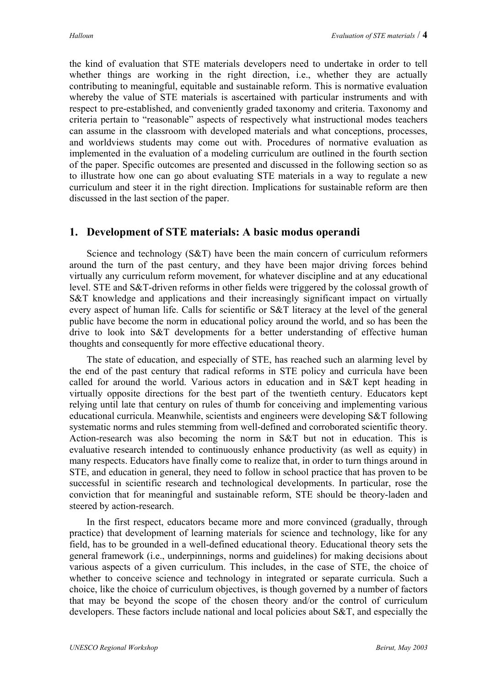the kind of evaluation that STE materials developers need to undertake in order to tell whether things are working in the right direction, i.e., whether they are actually contributing to meaningful, equitable and sustainable reform. This is normative evaluation whereby the value of STE materials is ascertained with particular instruments and with respect to pre-established, and conveniently graded taxonomy and criteria. Taxonomy and criteria pertain to "reasonable" aspects of respectively what instructional modes teachers can assume in the classroom with developed materials and what conceptions, processes, and worldviews students may come out with. Procedures of normative evaluation as implemented in the evaluation of a modeling curriculum are outlined in the fourth section of the paper. Specific outcomes are presented and discussed in the following section so as to illustrate how one can go about evaluating STE materials in a way to regulate a new curriculum and steer it in the right direction. Implications for sustainable reform are then discussed in the last section of the paper.

### **1. Development of STE materials: A basic modus operandi**

Science and technology (S&T) have been the main concern of curriculum reformers around the turn of the past century, and they have been major driving forces behind virtually any curriculum reform movement, for whatever discipline and at any educational level. STE and S&T-driven reforms in other fields were triggered by the colossal growth of S&T knowledge and applications and their increasingly significant impact on virtually every aspect of human life. Calls for scientific or S&T literacy at the level of the general public have become the norm in educational policy around the world, and so has been the drive to look into S&T developments for a better understanding of effective human thoughts and consequently for more effective educational theory.

The state of education, and especially of STE, has reached such an alarming level by the end of the past century that radical reforms in STE policy and curricula have been called for around the world. Various actors in education and in S&T kept heading in virtually opposite directions for the best part of the twentieth century. Educators kept relying until late that century on rules of thumb for conceiving and implementing various educational curricula. Meanwhile, scientists and engineers were developing S&T following systematic norms and rules stemming from well-defined and corroborated scientific theory. Action-research was also becoming the norm in S&T but not in education. This is evaluative research intended to continuously enhance productivity (as well as equity) in many respects. Educators have finally come to realize that, in order to turn things around in STE, and education in general, they need to follow in school practice that has proven to be successful in scientific research and technological developments. In particular, rose the conviction that for meaningful and sustainable reform, STE should be theory-laden and steered by action-research.

In the first respect, educators became more and more convinced (gradually, through practice) that development of learning materials for science and technology, like for any field, has to be grounded in a well-defined educational theory. Educational theory sets the general framework (i.e., underpinnings, norms and guidelines) for making decisions about various aspects of a given curriculum. This includes, in the case of STE, the choice of whether to conceive science and technology in integrated or separate curricula. Such a choice, like the choice of curriculum objectives, is though governed by a number of factors that may be beyond the scope of the chosen theory and/or the control of curriculum developers. These factors include national and local policies about S&T, and especially the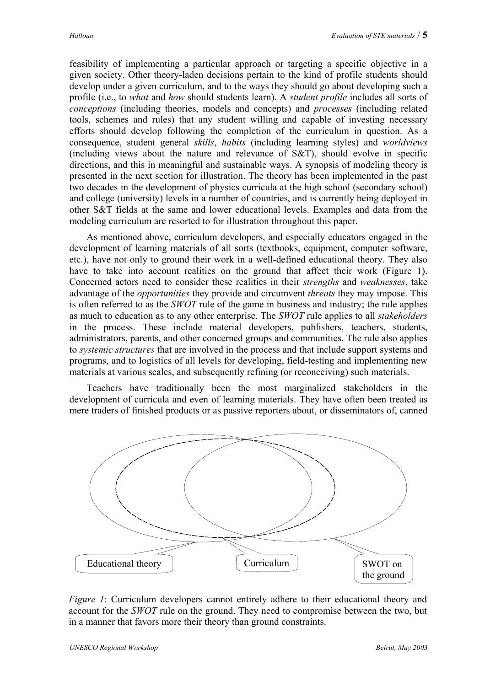feasibility of implementing a particular approach or targeting a specific objective in a given society. Other theory-laden decisions pertain to the kind of profile students should develop under a given curriculum, and to the ways they should go about developing such a profile (i.e., to *what* and *how* should students learn). A *student profile* includes all sorts of *conceptions* (including theories, models and concepts) and *processes* (including related tools, schemes and rules) that any student willing and capable of investing necessary efforts should develop following the completion of the curriculum in question. As a consequence, student general *skills*, *habits* (including learning styles) and *worldviews* (including views about the nature and relevance of S&T), should evolve in specific directions, and this in meaningful and sustainable ways. A synopsis of modeling theory is presented in the next section for illustration. The theory has been implemented in the past two decades in the development of physics curricula at the high school (secondary school) and college (university) levels in a number of countries, and is currently being deployed in other S&T fields at the same and lower educational levels. Examples and data from the modeling curriculum are resorted to for illustration throughout this paper.

As mentioned above, curriculum developers, and especially educators engaged in the development of learning materials of all sorts (textbooks, equipment, computer software, etc.), have not only to ground their work in a well-defined educational theory. They also have to take into account realities on the ground that affect their work (Figure 1). Concerned actors need to consider these realities in their *strengths* and *weaknesses*, take advantage of the *opportunities* they provide and circumvent *threats* they may impose. This is often referred to as the *SWOT* rule of the game in business and industry; the rule applies as much to education as to any other enterprise. The *SWOT* rule applies to all *stakeholders* in the process. These include material developers, publishers, teachers, students, administrators, parents, and other concerned groups and communities. The rule also applies to *systemic structures* that are involved in the process and that include support systems and programs, and to logistics of all levels for developing, field-testing and implementing new materials at various scales, and subsequently refining (or reconceiving) such materials.

Teachers have traditionally been the most marginalized stakeholders in the development of curricula and even of learning materials. They have often been treated as mere traders of finished products or as passive reporters about, or disseminators of, canned



*Figure 1*: Curriculum developers cannot entirely adhere to their educational theory and account for the *SWOT* rule on the ground. They need to compromise between the two, but in a manner that favors more their theory than ground constraints.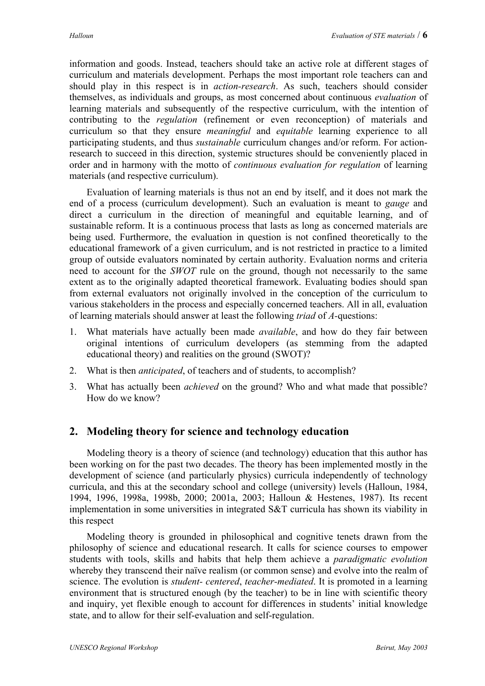information and goods. Instead, teachers should take an active role at different stages of curriculum and materials development. Perhaps the most important role teachers can and should play in this respect is in *action-research*. As such, teachers should consider themselves, as individuals and groups, as most concerned about continuous *evaluation* of learning materials and subsequently of the respective curriculum, with the intention of contributing to the *regulation* (refinement or even reconception) of materials and curriculum so that they ensure *meaningful* and *equitable* learning experience to all participating students, and thus *sustainable* curriculum changes and/or reform. For actionresearch to succeed in this direction, systemic structures should be conveniently placed in order and in harmony with the motto of *continuous evaluation for regulation* of learning materials (and respective curriculum).

Evaluation of learning materials is thus not an end by itself, and it does not mark the end of a process (curriculum development). Such an evaluation is meant to *gauge* and direct a curriculum in the direction of meaningful and equitable learning, and of sustainable reform. It is a continuous process that lasts as long as concerned materials are being used. Furthermore, the evaluation in question is not confined theoretically to the educational framework of a given curriculum, and is not restricted in practice to a limited group of outside evaluators nominated by certain authority. Evaluation norms and criteria need to account for the *SWOT* rule on the ground, though not necessarily to the same extent as to the originally adapted theoretical framework. Evaluating bodies should span from external evaluators not originally involved in the conception of the curriculum to various stakeholders in the process and especially concerned teachers. All in all, evaluation of learning materials should answer at least the following *triad* of *A-*questions:

- 1. What materials have actually been made *available*, and how do they fair between original intentions of curriculum developers (as stemming from the adapted educational theory) and realities on the ground (SWOT)?
- 2. What is then *anticipated*, of teachers and of students, to accomplish?
- 3. What has actually been *achieved* on the ground? Who and what made that possible? How do we know?

# **2. Modeling theory for science and technology education**

Modeling theory is a theory of science (and technology) education that this author has been working on for the past two decades. The theory has been implemented mostly in the development of science (and particularly physics) curricula independently of technology curricula, and this at the secondary school and college (university) levels (Halloun, 1984, 1994, 1996, 1998a, 1998b, 2000; 2001a, 2003; Halloun & Hestenes, 1987). Its recent implementation in some universities in integrated S&T curricula has shown its viability in this respect

Modeling theory is grounded in philosophical and cognitive tenets drawn from the philosophy of science and educational research. It calls for science courses to empower students with tools, skills and habits that help them achieve a *paradigmatic evolution* whereby they transcend their naïve realism (or common sense) and evolve into the realm of science. The evolution is *student- centered*, *teacher-mediated*. It is promoted in a learning environment that is structured enough (by the teacher) to be in line with scientific theory and inquiry, yet flexible enough to account for differences in students' initial knowledge state, and to allow for their self-evaluation and self-regulation.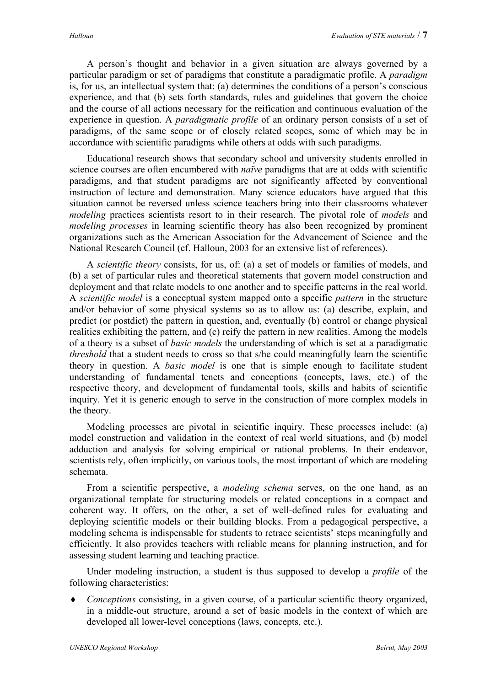A person's thought and behavior in a given situation are always governed by a particular paradigm or set of paradigms that constitute a paradigmatic profile. A *paradigm* is, for us, an intellectual system that: (a) determines the conditions of a person's conscious experience, and that (b) sets forth standards, rules and guidelines that govern the choice and the course of all actions necessary for the reification and continuous evaluation of the experience in question. A *paradigmatic profile* of an ordinary person consists of a set of paradigms, of the same scope or of closely related scopes, some of which may be in accordance with scientific paradigms while others at odds with such paradigms.

Educational research shows that secondary school and university students enrolled in science courses are often encumbered with *naïve* paradigms that are at odds with scientific paradigms, and that student paradigms are not significantly affected by conventional instruction of lecture and demonstration. Many science educators have argued that this situation cannot be reversed unless science teachers bring into their classrooms whatever *modeling* practices scientists resort to in their research. The pivotal role of *models* and *modeling processes* in learning scientific theory has also been recognized by prominent organizations such as the American Association for the Advancement of Science and the National Research Council (cf. Halloun, 2003 for an extensive list of references).

 A *scientific theory* consists, for us, of: (a) a set of models or families of models, and (b) a set of particular rules and theoretical statements that govern model construction and deployment and that relate models to one another and to specific patterns in the real world. A *scientific model* is a conceptual system mapped onto a specific *pattern* in the structure and/or behavior of some physical systems so as to allow us: (a) describe, explain, and predict (or postdict) the pattern in question, and, eventually (b) control or change physical realities exhibiting the pattern, and (c) reify the pattern in new realities. Among the models of a theory is a subset of *basic models* the understanding of which is set at a paradigmatic *threshold* that a student needs to cross so that s/he could meaningfully learn the scientific theory in question. A *basic model* is one that is simple enough to facilitate student understanding of fundamental tenets and conceptions (concepts, laws, etc.) of the respective theory, and development of fundamental tools, skills and habits of scientific inquiry. Yet it is generic enough to serve in the construction of more complex models in the theory.

Modeling processes are pivotal in scientific inquiry. These processes include: (a) model construction and validation in the context of real world situations, and (b) model adduction and analysis for solving empirical or rational problems. In their endeavor, scientists rely, often implicitly, on various tools, the most important of which are modeling schemata.

From a scientific perspective, a *modeling schema* serves, on the one hand, as an organizational template for structuring models or related conceptions in a compact and coherent way. It offers, on the other, a set of well-defined rules for evaluating and deploying scientific models or their building blocks. From a pedagogical perspective, a modeling schema is indispensable for students to retrace scientists' steps meaningfully and efficiently. It also provides teachers with reliable means for planning instruction, and for assessing student learning and teaching practice.

Under modeling instruction, a student is thus supposed to develop a *profile* of the following characteristics:

*Conceptions* consisting, in a given course, of a particular scientific theory organized, in a middle-out structure, around a set of basic models in the context of which are developed all lower-level conceptions (laws, concepts, etc.). ♦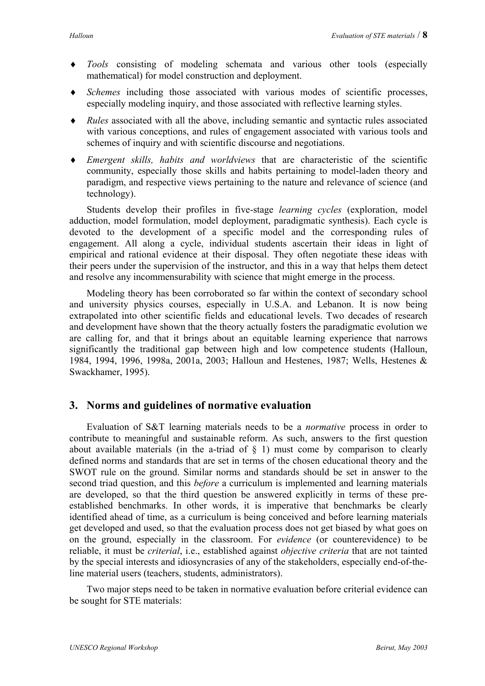- *Tools* consisting of modeling schemata and various other tools (especially mathematical) for model construction and deployment. ♦
- ♦ *Schemes* including those associated with various modes of scientific processes, especially modeling inquiry, and those associated with reflective learning styles.
- ♦ *Rules* associated with all the above, including semantic and syntactic rules associated with various conceptions, and rules of engagement associated with various tools and schemes of inquiry and with scientific discourse and negotiations.
- ♦ *Emergent skills, habits and worldviews* that are characteristic of the scientific community, especially those skills and habits pertaining to model-laden theory and paradigm, and respective views pertaining to the nature and relevance of science (and technology).

Students develop their profiles in five-stage *learning cycles* (exploration, model adduction, model formulation, model deployment, paradigmatic synthesis). Each cycle is devoted to the development of a specific model and the corresponding rules of engagement. All along a cycle, individual students ascertain their ideas in light of empirical and rational evidence at their disposal. They often negotiate these ideas with their peers under the supervision of the instructor, and this in a way that helps them detect and resolve any incommensurability with science that might emerge in the process.

Modeling theory has been corroborated so far within the context of secondary school and university physics courses, especially in U.S.A. and Lebanon. It is now being extrapolated into other scientific fields and educational levels. Two decades of research and development have shown that the theory actually fosters the paradigmatic evolution we are calling for, and that it brings about an equitable learning experience that narrows significantly the traditional gap between high and low competence students (Halloun, 1984, 1994, 1996, 1998a, 2001a, 2003; Halloun and Hestenes, 1987; Wells, Hestenes & Swackhamer, 1995).

### **3. Norms and guidelines of normative evaluation**

Evaluation of S&T learning materials needs to be a *normative* process in order to contribute to meaningful and sustainable reform. As such, answers to the first question about available materials (in the a-triad of  $\S$  1) must come by comparison to clearly defined norms and standards that are set in terms of the chosen educational theory and the SWOT rule on the ground. Similar norms and standards should be set in answer to the second triad question, and this *before* a curriculum is implemented and learning materials are developed, so that the third question be answered explicitly in terms of these preestablished benchmarks. In other words, it is imperative that benchmarks be clearly identified ahead of time, as a curriculum is being conceived and before learning materials get developed and used, so that the evaluation process does not get biased by what goes on on the ground, especially in the classroom. For *evidence* (or counterevidence) to be reliable, it must be *criterial*, i.e., established against *objective criteria* that are not tainted by the special interests and idiosyncrasies of any of the stakeholders, especially end-of-theline material users (teachers, students, administrators).

Two major steps need to be taken in normative evaluation before criterial evidence can be sought for STE materials: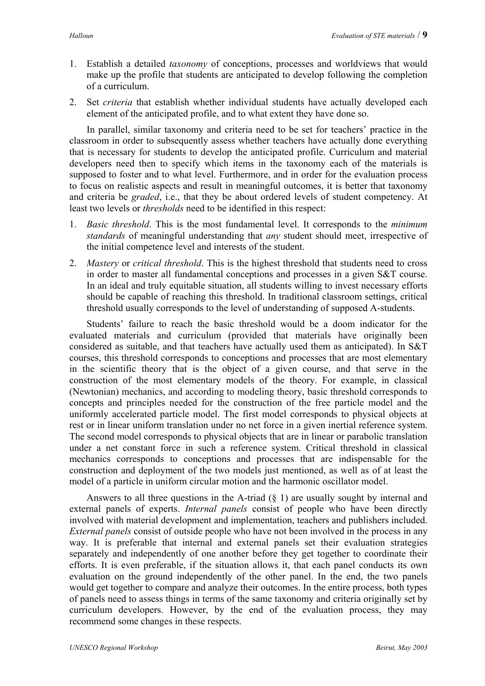- 1. Establish a detailed *taxonomy* of conceptions, processes and worldviews that would make up the profile that students are anticipated to develop following the completion of a curriculum.
- 2. Set *criteria* that establish whether individual students have actually developed each element of the anticipated profile, and to what extent they have done so.

In parallel, similar taxonomy and criteria need to be set for teachers' practice in the classroom in order to subsequently assess whether teachers have actually done everything that is necessary for students to develop the anticipated profile. Curriculum and material developers need then to specify which items in the taxonomy each of the materials is supposed to foster and to what level. Furthermore, and in order for the evaluation process to focus on realistic aspects and result in meaningful outcomes, it is better that taxonomy and criteria be *graded*, i.e., that they be about ordered levels of student competency. At least two levels or *thresholds* need to be identified in this respect:

- 1. *Basic threshold*. This is the most fundamental level. It corresponds to the *minimum standards* of meaningful understanding that *any* student should meet, irrespective of the initial competence level and interests of the student.
- 2. *Mastery* or *critical threshold*. This is the highest threshold that students need to cross in order to master all fundamental conceptions and processes in a given S&T course. In an ideal and truly equitable situation, all students willing to invest necessary efforts should be capable of reaching this threshold. In traditional classroom settings, critical threshold usually corresponds to the level of understanding of supposed A-students.

Students' failure to reach the basic threshold would be a doom indicator for the evaluated materials and curriculum (provided that materials have originally been considered as suitable, and that teachers have actually used them as anticipated). In S&T courses, this threshold corresponds to conceptions and processes that are most elementary in the scientific theory that is the object of a given course, and that serve in the construction of the most elementary models of the theory. For example, in classical (Newtonian) mechanics, and according to modeling theory, basic threshold corresponds to concepts and principles needed for the construction of the free particle model and the uniformly accelerated particle model. The first model corresponds to physical objects at rest or in linear uniform translation under no net force in a given inertial reference system. The second model corresponds to physical objects that are in linear or parabolic translation under a net constant force in such a reference system. Critical threshold in classical mechanics corresponds to conceptions and processes that are indispensable for the construction and deployment of the two models just mentioned, as well as of at least the model of a particle in uniform circular motion and the harmonic oscillator model.

Answers to all three questions in the A-triad (§ 1) are usually sought by internal and external panels of experts. *Internal panels* consist of people who have been directly involved with material development and implementation, teachers and publishers included. *External panels* consist of outside people who have not been involved in the process in any way. It is preferable that internal and external panels set their evaluation strategies separately and independently of one another before they get together to coordinate their efforts. It is even preferable, if the situation allows it, that each panel conducts its own evaluation on the ground independently of the other panel. In the end, the two panels would get together to compare and analyze their outcomes. In the entire process, both types of panels need to assess things in terms of the same taxonomy and criteria originally set by curriculum developers. However, by the end of the evaluation process, they may recommend some changes in these respects.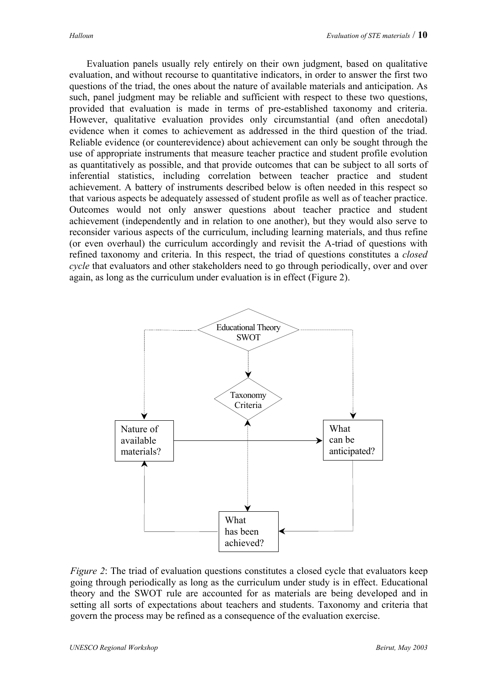Evaluation panels usually rely entirely on their own judgment, based on qualitative evaluation, and without recourse to quantitative indicators, in order to answer the first two questions of the triad, the ones about the nature of available materials and anticipation. As such, panel judgment may be reliable and sufficient with respect to these two questions, provided that evaluation is made in terms of pre-established taxonomy and criteria. However, qualitative evaluation provides only circumstantial (and often anecdotal) evidence when it comes to achievement as addressed in the third question of the triad. Reliable evidence (or counterevidence) about achievement can only be sought through the use of appropriate instruments that measure teacher practice and student profile evolution as quantitatively as possible, and that provide outcomes that can be subject to all sorts of inferential statistics, including correlation between teacher practice and student achievement. A battery of instruments described below is often needed in this respect so that various aspects be adequately assessed of student profile as well as of teacher practice. Outcomes would not only answer questions about teacher practice and student achievement (independently and in relation to one another), but they would also serve to reconsider various aspects of the curriculum, including learning materials, and thus refine (or even overhaul) the curriculum accordingly and revisit the A-triad of questions with refined taxonomy and criteria. In this respect, the triad of questions constitutes a *closed cycle* that evaluators and other stakeholders need to go through periodically, over and over again, as long as the curriculum under evaluation is in effect (Figure 2).



*Figure 2*: The triad of evaluation questions constitutes a closed cycle that evaluators keep going through periodically as long as the curriculum under study is in effect. Educational theory and the SWOT rule are accounted for as materials are being developed and in setting all sorts of expectations about teachers and students. Taxonomy and criteria that govern the process may be refined as a consequence of the evaluation exercise.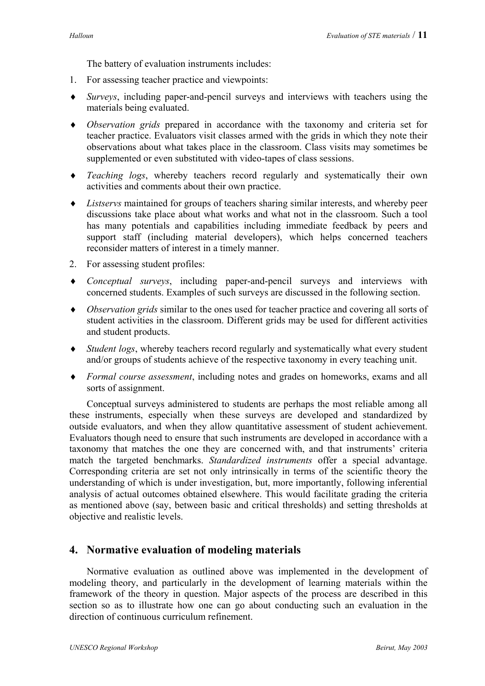The battery of evaluation instruments includes:

- 1. For assessing teacher practice and viewpoints:
- *Surveys*, including paper-and-pencil surveys and interviews with teachers using the ♦ materials being evaluated.
- ♦ *Observation grids* prepared in accordance with the taxonomy and criteria set for teacher practice. Evaluators visit classes armed with the grids in which they note their observations about what takes place in the classroom. Class visits may sometimes be supplemented or even substituted with video-tapes of class sessions.
- ♦ *Teaching logs*, whereby teachers record regularly and systematically their own activities and comments about their own practice.
- ♦ *Listservs* maintained for groups of teachers sharing similar interests, and whereby peer discussions take place about what works and what not in the classroom. Such a tool has many potentials and capabilities including immediate feedback by peers and support staff (including material developers), which helps concerned teachers reconsider matters of interest in a timely manner.
- 2. For assessing student profiles:
- ♦ *Conceptual surveys*, including paper-and-pencil surveys and interviews with concerned students. Examples of such surveys are discussed in the following section.
- ♦ *Observation grids* similar to the ones used for teacher practice and covering all sorts of student activities in the classroom. Different grids may be used for different activities and student products.
- ♦ *Student logs*, whereby teachers record regularly and systematically what every student and/or groups of students achieve of the respective taxonomy in every teaching unit.
- ♦ *Formal course assessment*, including notes and grades on homeworks, exams and all sorts of assignment.

Conceptual surveys administered to students are perhaps the most reliable among all these instruments, especially when these surveys are developed and standardized by outside evaluators, and when they allow quantitative assessment of student achievement. Evaluators though need to ensure that such instruments are developed in accordance with a taxonomy that matches the one they are concerned with, and that instruments' criteria match the targeted benchmarks. *Standardized instruments* offer a special advantage. Corresponding criteria are set not only intrinsically in terms of the scientific theory the understanding of which is under investigation, but, more importantly, following inferential analysis of actual outcomes obtained elsewhere. This would facilitate grading the criteria as mentioned above (say, between basic and critical thresholds) and setting thresholds at objective and realistic levels.

### **4. Normative evaluation of modeling materials**

Normative evaluation as outlined above was implemented in the development of modeling theory, and particularly in the development of learning materials within the framework of the theory in question. Major aspects of the process are described in this section so as to illustrate how one can go about conducting such an evaluation in the direction of continuous curriculum refinement.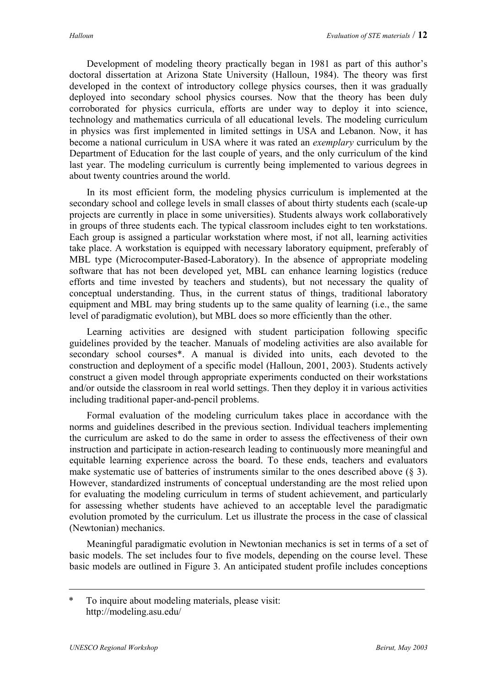Development of modeling theory practically began in 1981 as part of this author's doctoral dissertation at Arizona State University (Halloun, 1984). The theory was first developed in the context of introductory college physics courses, then it was gradually deployed into secondary school physics courses. Now that the theory has been duly corroborated for physics curricula, efforts are under way to deploy it into science, technology and mathematics curricula of all educational levels. The modeling curriculum in physics was first implemented in limited settings in USA and Lebanon. Now, it has become a national curriculum in USA where it was rated an *exemplary* curriculum by the Department of Education for the last couple of years, and the only curriculum of the kind last year. The modeling curriculum is currently being implemented to various degrees in about twenty countries around the world.

In its most efficient form, the modeling physics curriculum is implemented at the secondary school and college levels in small classes of about thirty students each (scale-up projects are currently in place in some universities). Students always work collaboratively in groups of three students each. The typical classroom includes eight to ten workstations. Each group is assigned a particular workstation where most, if not all, learning activities take place. A workstation is equipped with necessary laboratory equipment, preferably of MBL type (Microcomputer-Based-Laboratory). In the absence of appropriate modeling software that has not been developed yet, MBL can enhance learning logistics (reduce efforts and time invested by teachers and students), but not necessary the quality of conceptual understanding. Thus, in the current status of things, traditional laboratory equipment and MBL may bring students up to the same quality of learning (i.e., the same level of paradigmatic evolution), but MBL does so more efficiently than the other.

Learning activities are designed with student participation following specific guidelines provided by the teacher. Manuals of modeling activities are also available for secondary school courses\*. A manual is divided into units, each devoted to the construction and deployment of a specific model (Halloun, 2001, 2003). Students actively construct a given model through appropriate experiments conducted on their workstations and/or outside the classroom in real world settings. Then they deploy it in various activities including traditional paper-and-pencil problems.

Formal evaluation of the modeling curriculum takes place in accordance with the norms and guidelines described in the previous section. Individual teachers implementing the curriculum are asked to do the same in order to assess the effectiveness of their own instruction and participate in action-research leading to continuously more meaningful and equitable learning experience across the board. To these ends, teachers and evaluators make systematic use of batteries of instruments similar to the ones described above (§ 3). However, standardized instruments of conceptual understanding are the most relied upon for evaluating the modeling curriculum in terms of student achievement, and particularly for assessing whether students have achieved to an acceptable level the paradigmatic evolution promoted by the curriculum. Let us illustrate the process in the case of classical (Newtonian) mechanics.

Meaningful paradigmatic evolution in Newtonian mechanics is set in terms of a set of basic models. The set includes four to five models, depending on the course level. These basic models are outlined in Figure 3. An anticipated student profile includes conceptions

<sup>\*</sup> To inquire about modeling materials, please visit: http://modeling.asu.edu/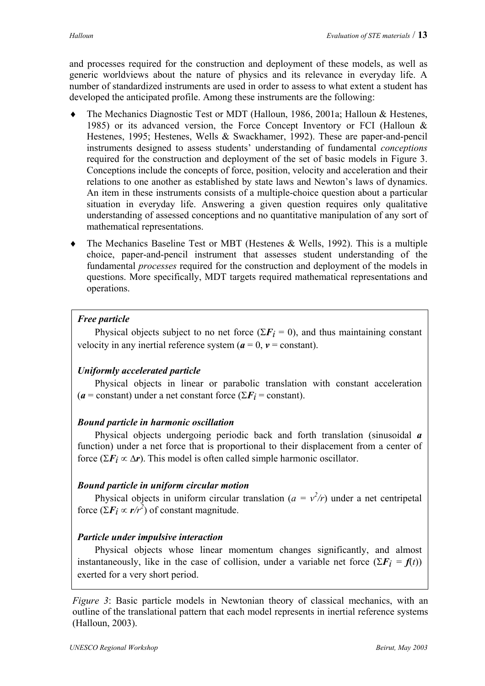and processes required for the construction and deployment of these models, as well as generic worldviews about the nature of physics and its relevance in everyday life. A number of standardized instruments are used in order to assess to what extent a student has developed the anticipated profile. Among these instruments are the following:

- The Mechanics Diagnostic Test or MDT (Halloun, 1986, 2001a; Halloun & Hestenes, 1985) or its advanced version, the Force Concept Inventory or FCI (Halloun & Hestenes, 1995; Hestenes, Wells & Swackhamer, 1992). These are paper-and-pencil instruments designed to assess students' understanding of fundamental *conceptions* required for the construction and deployment of the set of basic models in Figure 3. Conceptions include the concepts of force, position, velocity and acceleration and their relations to one another as established by state laws and Newton's laws of dynamics. An item in these instruments consists of a multiple-choice question about a particular situation in everyday life. Answering a given question requires only qualitative understanding of assessed conceptions and no quantitative manipulation of any sort of mathematical representations. ♦
- ♦ The Mechanics Baseline Test or MBT (Hestenes & Wells, 1992). This is a multiple choice, paper-and-pencil instrument that assesses student understanding of the fundamental *processes* required for the construction and deployment of the models in questions. More specifically, MDT targets required mathematical representations and operations.

#### *Free particle*

Physical objects subject to no net force ( $\Sigma F_i = 0$ ), and thus maintaining constant velocity in any inertial reference system  $(a = 0, v = constant)$ .

#### *Uniformly accelerated particle*

Physical objects in linear or parabolic translation with constant acceleration  $(a = constant)$  under a net constant force  $(\sum F_i = constant)$ .

#### *Bound particle in harmonic oscillation*

Physical objects undergoing periodic back and forth translation (sinusoidal *a* function) under a net force that is proportional to their displacement from a center of force ( $\Sigma F_i \propto \Delta r$ ). This model is often called simple harmonic oscillator.

#### *Bound particle in uniform circular motion*

Physical objects in uniform circular translation ( $a = v^2/r$ ) under a net centripetal force  $(\Sigma F_i \propto r/r^2)$  of constant magnitude.

#### *Particle under impulsive interaction*

Physical objects whose linear momentum changes significantly, and almost instantaneously, like in the case of collision, under a variable net force  $(\Sigma F_i = f(t))$ exerted for a very short period.

*Figure 3*: Basic particle models in Newtonian theory of classical mechanics, with an outline of the translational pattern that each model represents in inertial reference systems (Halloun, 2003).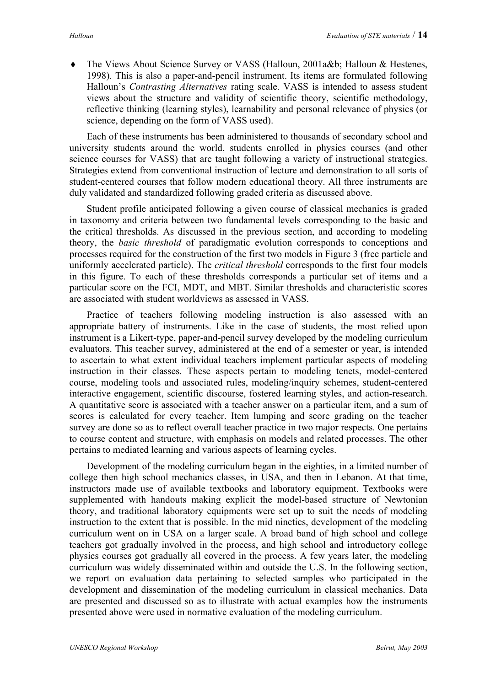The Views About Science Survey or VASS (Halloun, 2001a&b; Halloun & Hestenes, 1998). This is also a paper-and-pencil instrument. Its items are formulated following Halloun's *Contrasting Alternatives* rating scale. VASS is intended to assess student views about the structure and validity of scientific theory, scientific methodology, reflective thinking (learning styles), learnability and personal relevance of physics (or science, depending on the form of VASS used). ♦

Each of these instruments has been administered to thousands of secondary school and university students around the world, students enrolled in physics courses (and other science courses for VASS) that are taught following a variety of instructional strategies. Strategies extend from conventional instruction of lecture and demonstration to all sorts of student-centered courses that follow modern educational theory. All three instruments are duly validated and standardized following graded criteria as discussed above.

Student profile anticipated following a given course of classical mechanics is graded in taxonomy and criteria between two fundamental levels corresponding to the basic and the critical thresholds. As discussed in the previous section, and according to modeling theory, the *basic threshold* of paradigmatic evolution corresponds to conceptions and processes required for the construction of the first two models in Figure 3 (free particle and uniformly accelerated particle). The *critical threshold* corresponds to the first four models in this figure. To each of these thresholds corresponds a particular set of items and a particular score on the FCI, MDT, and MBT. Similar thresholds and characteristic scores are associated with student worldviews as assessed in VASS.

Practice of teachers following modeling instruction is also assessed with an appropriate battery of instruments. Like in the case of students, the most relied upon instrument is a Likert-type, paper-and-pencil survey developed by the modeling curriculum evaluators. This teacher survey, administered at the end of a semester or year, is intended to ascertain to what extent individual teachers implement particular aspects of modeling instruction in their classes. These aspects pertain to modeling tenets, model-centered course, modeling tools and associated rules, modeling/inquiry schemes, student-centered interactive engagement, scientific discourse, fostered learning styles, and action-research. A quantitative score is associated with a teacher answer on a particular item, and a sum of scores is calculated for every teacher. Item lumping and score grading on the teacher survey are done so as to reflect overall teacher practice in two major respects. One pertains to course content and structure, with emphasis on models and related processes. The other pertains to mediated learning and various aspects of learning cycles.

Development of the modeling curriculum began in the eighties, in a limited number of college then high school mechanics classes, in USA, and then in Lebanon. At that time, instructors made use of available textbooks and laboratory equipment. Textbooks were supplemented with handouts making explicit the model-based structure of Newtonian theory, and traditional laboratory equipments were set up to suit the needs of modeling instruction to the extent that is possible. In the mid nineties, development of the modeling curriculum went on in USA on a larger scale. A broad band of high school and college teachers got gradually involved in the process, and high school and introductory college physics courses got gradually all covered in the process. A few years later, the modeling curriculum was widely disseminated within and outside the U.S. In the following section, we report on evaluation data pertaining to selected samples who participated in the development and dissemination of the modeling curriculum in classical mechanics. Data are presented and discussed so as to illustrate with actual examples how the instruments presented above were used in normative evaluation of the modeling curriculum.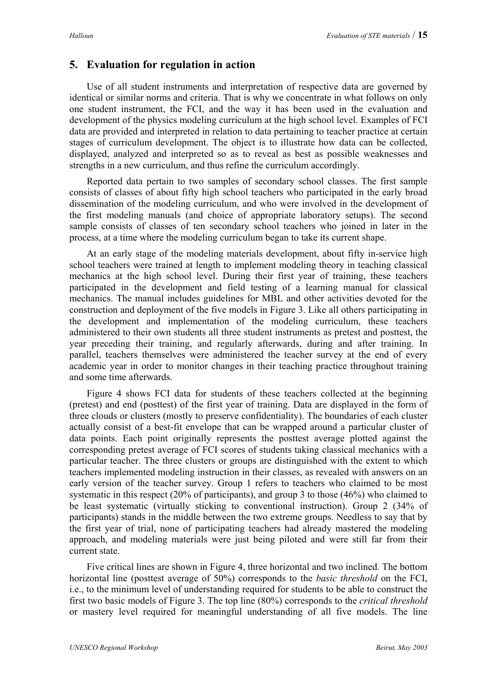# **5. Evaluation for regulation in action**

Use of all student instruments and interpretation of respective data are governed by identical or similar norms and criteria. That is why we concentrate in what follows on only one student instrument, the FCI, and the way it has been used in the evaluation and development of the physics modeling curriculum at the high school level. Examples of FCI data are provided and interpreted in relation to data pertaining to teacher practice at certain stages of curriculum development. The object is to illustrate how data can be collected, displayed, analyzed and interpreted so as to reveal as best as possible weaknesses and strengths in a new curriculum, and thus refine the curriculum accordingly.

Reported data pertain to two samples of secondary school classes. The first sample consists of classes of about fifty high school teachers who participated in the early broad dissemination of the modeling curriculum, and who were involved in the development of the first modeling manuals (and choice of appropriate laboratory setups). The second sample consists of classes of ten secondary school teachers who joined in later in the process, at a time where the modeling curriculum began to take its current shape.

At an early stage of the modeling materials development, about fifty in-service high school teachers were trained at length to implement modeling theory in teaching classical mechanics at the high school level. During their first year of training, these teachers participated in the development and field testing of a learning manual for classical mechanics. The manual includes guidelines for MBL and other activities devoted for the construction and deployment of the five models in Figure 3. Like all others participating in the development and implementation of the modeling curriculum, these teachers administered to their own students all three student instruments as pretest and posttest, the year preceding their training, and regularly afterwards, during and after training. In parallel, teachers themselves were administered the teacher survey at the end of every academic year in order to monitor changes in their teaching practice throughout training and some time afterwards.

Figure 4 shows FCI data for students of these teachers collected at the beginning (pretest) and end (posttest) of the first year of training. Data are displayed in the form of three clouds or clusters (mostly to preserve confidentiality). The boundaries of each cluster actually consist of a best-fit envelope that can be wrapped around a particular cluster of data points. Each point originally represents the posttest average plotted against the corresponding pretest average of FCI scores of students taking classical mechanics with a particular teacher. The three clusters or groups are distinguished with the extent to which teachers implemented modeling instruction in their classes, as revealed with answers on an early version of the teacher survey. Group 1 refers to teachers who claimed to be most systematic in this respect (20% of participants), and group 3 to those (46%) who claimed to be least systematic (virtually sticking to conventional instruction). Group 2 (34% of participants) stands in the middle between the two extreme groups. Needless to say that by the first year of trial, none of participating teachers had already mastered the modeling approach, and modeling materials were just being piloted and were still far from their current state.

Five critical lines are shown in Figure 4, three horizontal and two inclined. The bottom horizontal line (posttest average of 50%) corresponds to the *basic threshold* on the FCI, i.e., to the minimum level of understanding required for students to be able to construct the first two basic models of Figure 3. The top line (80%) corresponds to the *critical threshold* or mastery level required for meaningful understanding of all five models. The line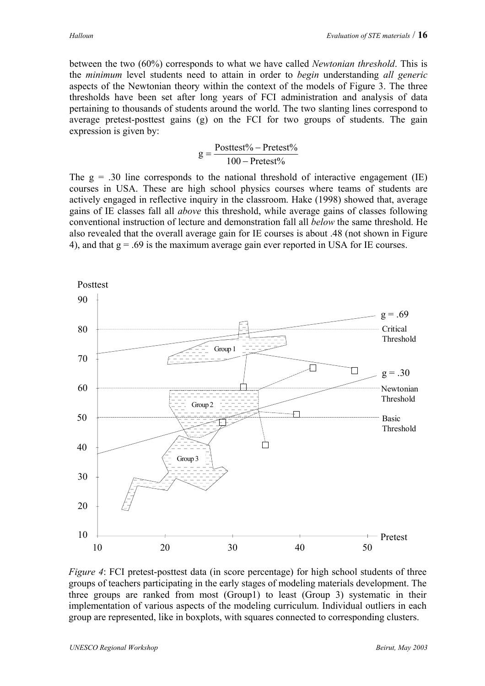between the two (60%) corresponds to what we have called *Newtonian threshold*. This is the *minimum* level students need to attain in order to *begin* understanding *all generic* aspects of the Newtonian theory within the context of the models of Figure 3. The three thresholds have been set after long years of FCI administration and analysis of data pertaining to thousands of students around the world. The two slanting lines correspond to average pretest-posttest gains (g) on the FCI for two groups of students. The gain expression is given by:

$$
g = \frac{Posttest\% - Pretest\%}{100 - Pretest\%}
$$

The  $g = .30$  line corresponds to the national threshold of interactive engagement (IE) courses in USA. These are high school physics courses where teams of students are actively engaged in reflective inquiry in the classroom. Hake (1998) showed that, average gains of IE classes fall all *above* this threshold, while average gains of classes following conventional instruction of lecture and demonstration fall all *below* the same threshold. He also revealed that the overall average gain for IE courses is about .48 (not shown in Figure 4), and that  $g = .69$  is the maximum average gain ever reported in USA for IE courses.



*Figure 4*: FCI pretest-posttest data (in score percentage) for high school students of three groups of teachers participating in the early stages of modeling materials development. The three groups are ranked from most (Group1) to least (Group 3) systematic in their implementation of various aspects of the modeling curriculum. Individual outliers in each group are represented, like in boxplots, with squares connected to corresponding clusters.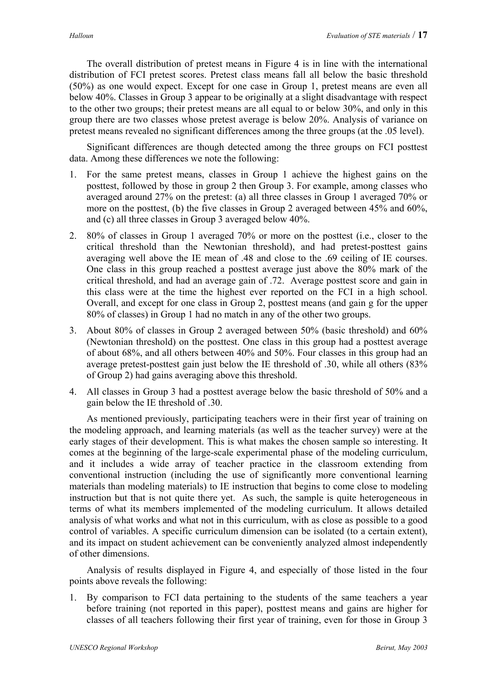The overall distribution of pretest means in Figure 4 is in line with the international distribution of FCI pretest scores. Pretest class means fall all below the basic threshold (50%) as one would expect. Except for one case in Group 1, pretest means are even all below 40%. Classes in Group 3 appear to be originally at a slight disadvantage with respect to the other two groups; their pretest means are all equal to or below 30%, and only in this group there are two classes whose pretest average is below 20%. Analysis of variance on pretest means revealed no significant differences among the three groups (at the .05 level).

Significant differences are though detected among the three groups on FCI posttest data. Among these differences we note the following:

- 1. For the same pretest means, classes in Group 1 achieve the highest gains on the posttest, followed by those in group 2 then Group 3. For example, among classes who averaged around 27% on the pretest: (a) all three classes in Group 1 averaged 70% or more on the posttest, (b) the five classes in Group 2 averaged between 45% and 60%, and (c) all three classes in Group 3 averaged below 40%.
- 2. 80% of classes in Group 1 averaged 70% or more on the posttest (i.e., closer to the critical threshold than the Newtonian threshold), and had pretest-posttest gains averaging well above the IE mean of .48 and close to the .69 ceiling of IE courses. One class in this group reached a posttest average just above the 80% mark of the critical threshold, and had an average gain of .72. Average posttest score and gain in this class were at the time the highest ever reported on the FCI in a high school. Overall, and except for one class in Group 2, posttest means (and gain g for the upper 80% of classes) in Group 1 had no match in any of the other two groups.
- 3. About 80% of classes in Group 2 averaged between 50% (basic threshold) and 60% (Newtonian threshold) on the posttest. One class in this group had a posttest average of about 68%, and all others between 40% and 50%. Four classes in this group had an average pretest-posttest gain just below the IE threshold of .30, while all others (83% of Group 2) had gains averaging above this threshold.
- 4. All classes in Group 3 had a posttest average below the basic threshold of 50% and a gain below the IE threshold of .30.

As mentioned previously, participating teachers were in their first year of training on the modeling approach, and learning materials (as well as the teacher survey) were at the early stages of their development. This is what makes the chosen sample so interesting. It comes at the beginning of the large-scale experimental phase of the modeling curriculum, and it includes a wide array of teacher practice in the classroom extending from conventional instruction (including the use of significantly more conventional learning materials than modeling materials) to IE instruction that begins to come close to modeling instruction but that is not quite there yet. As such, the sample is quite heterogeneous in terms of what its members implemented of the modeling curriculum. It allows detailed analysis of what works and what not in this curriculum, with as close as possible to a good control of variables. A specific curriculum dimension can be isolated (to a certain extent), and its impact on student achievement can be conveniently analyzed almost independently of other dimensions.

Analysis of results displayed in Figure 4, and especially of those listed in the four points above reveals the following:

1. By comparison to FCI data pertaining to the students of the same teachers a year before training (not reported in this paper), posttest means and gains are higher for classes of all teachers following their first year of training, even for those in Group 3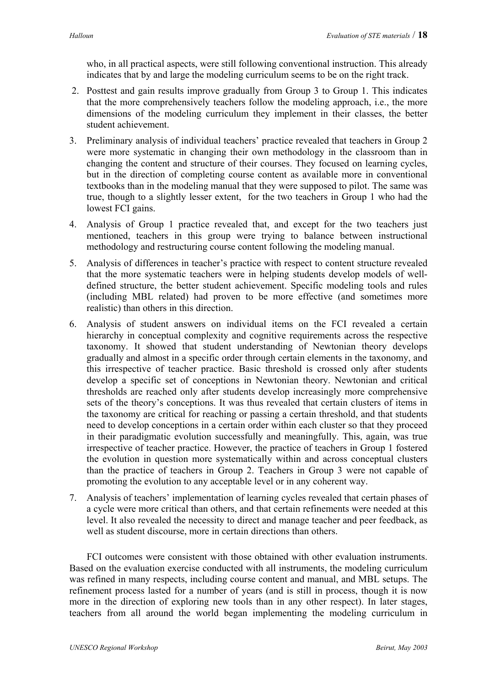who, in all practical aspects, were still following conventional instruction. This already indicates that by and large the modeling curriculum seems to be on the right track.

- 2. Posttest and gain results improve gradually from Group 3 to Group 1. This indicates that the more comprehensively teachers follow the modeling approach, i.e., the more dimensions of the modeling curriculum they implement in their classes, the better student achievement.
- 3. Preliminary analysis of individual teachers' practice revealed that teachers in Group 2 were more systematic in changing their own methodology in the classroom than in changing the content and structure of their courses. They focused on learning cycles, but in the direction of completing course content as available more in conventional textbooks than in the modeling manual that they were supposed to pilot. The same was true, though to a slightly lesser extent, for the two teachers in Group 1 who had the lowest FCI gains.
- 4. Analysis of Group 1 practice revealed that, and except for the two teachers just mentioned, teachers in this group were trying to balance between instructional methodology and restructuring course content following the modeling manual.
- 5. Analysis of differences in teacher's practice with respect to content structure revealed that the more systematic teachers were in helping students develop models of welldefined structure, the better student achievement. Specific modeling tools and rules (including MBL related) had proven to be more effective (and sometimes more realistic) than others in this direction.
- 6. Analysis of student answers on individual items on the FCI revealed a certain hierarchy in conceptual complexity and cognitive requirements across the respective taxonomy. It showed that student understanding of Newtonian theory develops gradually and almost in a specific order through certain elements in the taxonomy, and this irrespective of teacher practice. Basic threshold is crossed only after students develop a specific set of conceptions in Newtonian theory. Newtonian and critical thresholds are reached only after students develop increasingly more comprehensive sets of the theory's conceptions. It was thus revealed that certain clusters of items in the taxonomy are critical for reaching or passing a certain threshold, and that students need to develop conceptions in a certain order within each cluster so that they proceed in their paradigmatic evolution successfully and meaningfully. This, again, was true irrespective of teacher practice. However, the practice of teachers in Group 1 fostered the evolution in question more systematically within and across conceptual clusters than the practice of teachers in Group 2. Teachers in Group 3 were not capable of promoting the evolution to any acceptable level or in any coherent way.
- 7. Analysis of teachers' implementation of learning cycles revealed that certain phases of a cycle were more critical than others, and that certain refinements were needed at this level. It also revealed the necessity to direct and manage teacher and peer feedback, as well as student discourse, more in certain directions than others.

FCI outcomes were consistent with those obtained with other evaluation instruments. Based on the evaluation exercise conducted with all instruments, the modeling curriculum was refined in many respects, including course content and manual, and MBL setups. The refinement process lasted for a number of years (and is still in process, though it is now more in the direction of exploring new tools than in any other respect). In later stages, teachers from all around the world began implementing the modeling curriculum in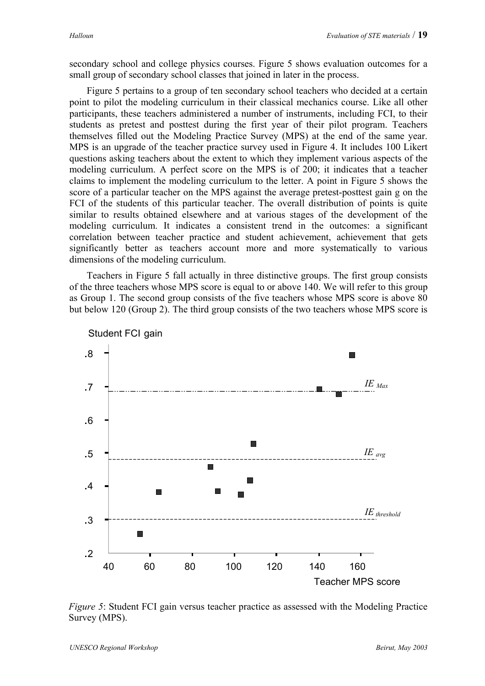secondary school and college physics courses. Figure 5 shows evaluation outcomes for a small group of secondary school classes that joined in later in the process.

Figure 5 pertains to a group of ten secondary school teachers who decided at a certain point to pilot the modeling curriculum in their classical mechanics course. Like all other participants, these teachers administered a number of instruments, including FCI, to their students as pretest and posttest during the first year of their pilot program. Teachers themselves filled out the Modeling Practice Survey (MPS) at the end of the same year. MPS is an upgrade of the teacher practice survey used in Figure 4. It includes 100 Likert questions asking teachers about the extent to which they implement various aspects of the modeling curriculum. A perfect score on the MPS is of 200; it indicates that a teacher claims to implement the modeling curriculum to the letter. A point in Figure 5 shows the score of a particular teacher on the MPS against the average pretest-posttest gain g on the FCI of the students of this particular teacher. The overall distribution of points is quite similar to results obtained elsewhere and at various stages of the development of the modeling curriculum. It indicates a consistent trend in the outcomes: a significant correlation between teacher practice and student achievement, achievement that gets significantly better as teachers account more and more systematically to various dimensions of the modeling curriculum.

Teachers in Figure 5 fall actually in three distinctive groups. The first group consists of the three teachers whose MPS score is equal to or above 140. We will refer to this group as Group 1. The second group consists of the five teachers whose MPS score is above 80 but below 120 (Group 2). The third group consists of the two teachers whose MPS score is



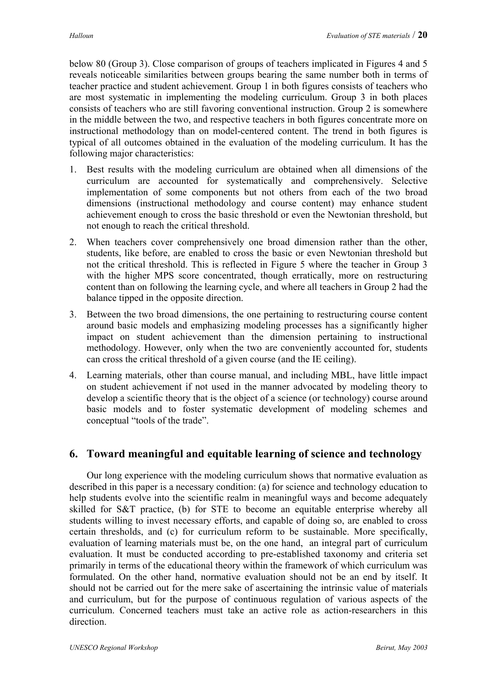below 80 (Group 3). Close comparison of groups of teachers implicated in Figures 4 and 5 reveals noticeable similarities between groups bearing the same number both in terms of teacher practice and student achievement. Group 1 in both figures consists of teachers who are most systematic in implementing the modeling curriculum. Group 3 in both places consists of teachers who are still favoring conventional instruction. Group 2 is somewhere in the middle between the two, and respective teachers in both figures concentrate more on instructional methodology than on model-centered content. The trend in both figures is typical of all outcomes obtained in the evaluation of the modeling curriculum. It has the following major characteristics:

- 1. Best results with the modeling curriculum are obtained when all dimensions of the curriculum are accounted for systematically and comprehensively. Selective implementation of some components but not others from each of the two broad dimensions (instructional methodology and course content) may enhance student achievement enough to cross the basic threshold or even the Newtonian threshold, but not enough to reach the critical threshold.
- 2. When teachers cover comprehensively one broad dimension rather than the other, students, like before, are enabled to cross the basic or even Newtonian threshold but not the critical threshold. This is reflected in Figure 5 where the teacher in Group 3 with the higher MPS score concentrated, though erratically, more on restructuring content than on following the learning cycle, and where all teachers in Group 2 had the balance tipped in the opposite direction.
- 3. Between the two broad dimensions, the one pertaining to restructuring course content around basic models and emphasizing modeling processes has a significantly higher impact on student achievement than the dimension pertaining to instructional methodology. However, only when the two are conveniently accounted for, students can cross the critical threshold of a given course (and the IE ceiling).
- 4. Learning materials, other than course manual, and including MBL, have little impact on student achievement if not used in the manner advocated by modeling theory to develop a scientific theory that is the object of a science (or technology) course around basic models and to foster systematic development of modeling schemes and conceptual "tools of the trade".

# **6. Toward meaningful and equitable learning of science and technology**

Our long experience with the modeling curriculum shows that normative evaluation as described in this paper is a necessary condition: (a) for science and technology education to help students evolve into the scientific realm in meaningful ways and become adequately skilled for S&T practice, (b) for STE to become an equitable enterprise whereby all students willing to invest necessary efforts, and capable of doing so, are enabled to cross certain thresholds, and (c) for curriculum reform to be sustainable. More specifically, evaluation of learning materials must be, on the one hand, an integral part of curriculum evaluation. It must be conducted according to pre-established taxonomy and criteria set primarily in terms of the educational theory within the framework of which curriculum was formulated. On the other hand, normative evaluation should not be an end by itself. It should not be carried out for the mere sake of ascertaining the intrinsic value of materials and curriculum, but for the purpose of continuous regulation of various aspects of the curriculum. Concerned teachers must take an active role as action-researchers in this direction.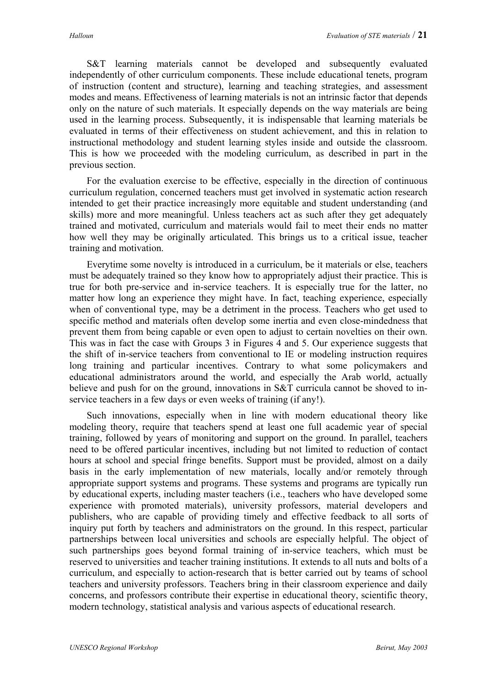S&T learning materials cannot be developed and subsequently evaluated independently of other curriculum components. These include educational tenets, program of instruction (content and structure), learning and teaching strategies, and assessment modes and means. Effectiveness of learning materials is not an intrinsic factor that depends only on the nature of such materials. It especially depends on the way materials are being used in the learning process. Subsequently, it is indispensable that learning materials be evaluated in terms of their effectiveness on student achievement, and this in relation to instructional methodology and student learning styles inside and outside the classroom. This is how we proceeded with the modeling curriculum, as described in part in the previous section.

For the evaluation exercise to be effective, especially in the direction of continuous curriculum regulation, concerned teachers must get involved in systematic action research intended to get their practice increasingly more equitable and student understanding (and skills) more and more meaningful. Unless teachers act as such after they get adequately trained and motivated, curriculum and materials would fail to meet their ends no matter how well they may be originally articulated. This brings us to a critical issue, teacher training and motivation.

Everytime some novelty is introduced in a curriculum, be it materials or else, teachers must be adequately trained so they know how to appropriately adjust their practice. This is true for both pre-service and in-service teachers. It is especially true for the latter, no matter how long an experience they might have. In fact, teaching experience, especially when of conventional type, may be a detriment in the process. Teachers who get used to specific method and materials often develop some inertia and even close-mindedness that prevent them from being capable or even open to adjust to certain novelties on their own. This was in fact the case with Groups 3 in Figures 4 and 5. Our experience suggests that the shift of in-service teachers from conventional to IE or modeling instruction requires long training and particular incentives. Contrary to what some policymakers and educational administrators around the world, and especially the Arab world, actually believe and push for on the ground, innovations in S&T curricula cannot be shoved to inservice teachers in a few days or even weeks of training (if any!).

Such innovations, especially when in line with modern educational theory like modeling theory, require that teachers spend at least one full academic year of special training, followed by years of monitoring and support on the ground. In parallel, teachers need to be offered particular incentives, including but not limited to reduction of contact hours at school and special fringe benefits. Support must be provided, almost on a daily basis in the early implementation of new materials, locally and/or remotely through appropriate support systems and programs. These systems and programs are typically run by educational experts, including master teachers (i.e., teachers who have developed some experience with promoted materials), university professors, material developers and publishers, who are capable of providing timely and effective feedback to all sorts of inquiry put forth by teachers and administrators on the ground. In this respect, particular partnerships between local universities and schools are especially helpful. The object of such partnerships goes beyond formal training of in-service teachers, which must be reserved to universities and teacher training institutions. It extends to all nuts and bolts of a curriculum, and especially to action-research that is better carried out by teams of school teachers and university professors. Teachers bring in their classroom experience and daily concerns, and professors contribute their expertise in educational theory, scientific theory, modern technology, statistical analysis and various aspects of educational research.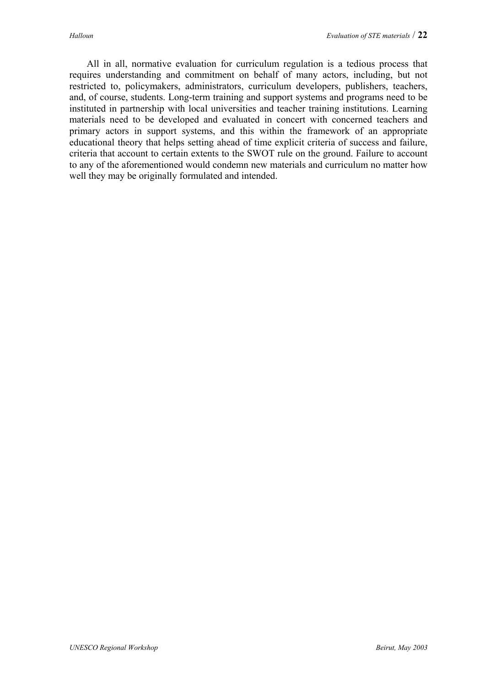All in all, normative evaluation for curriculum regulation is a tedious process that requires understanding and commitment on behalf of many actors, including, but not restricted to, policymakers, administrators, curriculum developers, publishers, teachers, and, of course, students. Long-term training and support systems and programs need to be instituted in partnership with local universities and teacher training institutions. Learning materials need to be developed and evaluated in concert with concerned teachers and primary actors in support systems, and this within the framework of an appropriate educational theory that helps setting ahead of time explicit criteria of success and failure, criteria that account to certain extents to the SWOT rule on the ground. Failure to account to any of the aforementioned would condemn new materials and curriculum no matter how well they may be originally formulated and intended.